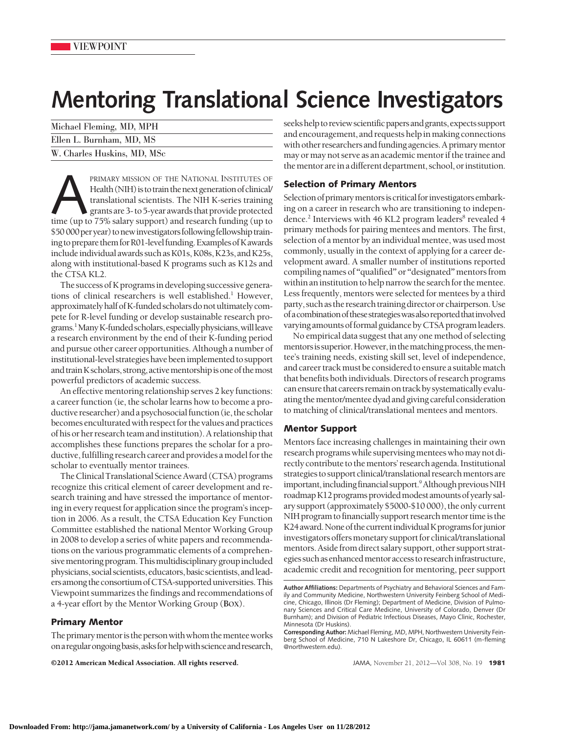# **Mentoring Translational Science Investigators**

| Michael Fleming, MD, MPH    |  |
|-----------------------------|--|
| Ellen L. Burnham, MD, MS    |  |
| W. Charles Huskins, MD, MSc |  |

PRIMARY MISSION OF THE NATIONAL INSTITUTES OF Health (NIH) is to train the next generation of clinical/<br>translational scientists. The NIH K-series training<br>grants are 3- to 5-year awards that provide protected<br>time (up to Health (NIH) is to train the next generation of clinical/ translational scientists. The NIH K-series training grants are 3- to 5-year awards that provide protected \$50 000 per year) to new investigators following fellowship training to prepare them for R01-level funding. Examples of K awards include individual awards such as K01s, K08s, K23s, and K25s, along with institutional-based K programs such as K12s and the CTSA KL2.

The success of K programs in developing successive generations of clinical researchers is well established.<sup>1</sup> However, approximately half of K-funded scholars do not ultimately compete for R-level funding or develop sustainable research programs.<sup>1</sup> Many K-funded scholars, especially physicians, will leave a research environment by the end of their K-funding period and pursue other career opportunities. Although a number of institutional-level strategieshave beenimplemented to support and train K scholars, strong, active mentorship is one of the most powerful predictors of academic success.

An effective mentoring relationship serves 2 key functions: a career function (ie, the scholar learns how to become a productive researcher) and a psychosocial function (ie, the scholar becomes enculturated with respect for the values and practices of his or her research team andinstitution).A relationship that accomplishes these functions prepares the scholar for a productive, fulfilling research career and provides a model for the scholar to eventually mentor trainees.

The Clinical Translational Science Award (CTSA) programs recognize this critical element of career development and research training and have stressed the importance of mentoring in every request for application since the program's inception in 2006. As a result, the CTSA Education Key Function Committee established the national Mentor Working Group in 2008 to develop a series of white papers and recommendations on the various programmatic elements of a comprehensive mentoring program. This multidisciplinary group included physicians, social scientists, educators, basic scientists, and leaders among the consortium of CTSA-supported universities. This Viewpoint summarizes the findings and recommendations of a 4-year effort by the Mentor Working Group (**BOX**).

# **Primary Mentor**

The primary mentor is the person with whom the mentee works onaregularongoingbasis,asksforhelpwithscienceandresearch,

©2012 American Medical Association. All rights reserved. JAMA, November 21, 2012—Vol 308, No. 19 **1981**

seeks help to review scientific papers and grants, expects support and encouragement, and requests help in making connections with other researchers and funding agencies. A primary mentor may or may not serve as an academic mentor if the trainee and the mentor are in a different department, school, or institution.

# **Selection of Primary Mentors**

Selection of primary mentors is critical for investigators embarking on a career in research who are transitioning to independence.<sup>2</sup> Interviews with 46 KL2 program leaders<sup>8</sup> revealed 4 primary methods for pairing mentees and mentors. The first, selection of a mentor by an individual mentee, was used most commonly, usually in the context of applying for a career development award. A smaller number of institutions reported compiling names of "qualified" or "designated" mentors from within an institution to help narrow the search for the mentee. Less frequently, mentors were selected for mentees by a third party, such as the research training director or chairperson.Use ofacombinationofthesestrategieswasalsoreportedthatinvolved varying amounts of formal guidance by CTSA program leaders.

No empirical data suggest that any one method of selecting mentors is superior. However, in the matching process, the mentee's training needs, existing skill set, level of independence, and career track must be considered to ensure a suitable match that benefits both individuals. Directors of research programs can ensure that careers remain on track by systematically evaluating thementor/mentee dyad andgiving careful consideration to matching of clinical/translational mentees and mentors.

## **Mentor Support**

Mentors face increasing challenges in maintaining their own research programs while supervising mentees who may not directly contribute to thementors' research agenda. Institutional strategies to support clinical/translational research mentors are important, including financial support.<sup>9</sup> Although previous NIH roadmap K12 programs provided modest amounts of yearly salary support (approximately \$5000-\$10 000), the only current NIH program to financially support research mentor time is the K24 award. None of the current individual K programs for junior investigators offers monetary support for clinical/translational mentors. Aside from direct salary support, other support strategies suchasenhancedmentoraccess to researchinfrastructure, academic credit and recognition for mentoring, peer support

**Author Affiliations:** Departments of Psychiatry and Behavioral Sciences and Family and Community Medicine, Northwestern University Feinberg School of Medicine, Chicago, Illinois (Dr Fleming); Department of Medicine, Division of Pulmonary Sciences and Critical Care Medicine, University of Colorado, Denver (Dr Burnham); and Division of Pediatric Infectious Diseases, Mayo Clinic, Rochester, Minnesota (Dr Huskins).

**Corresponding Author:** Michael Fleming, MD, MPH, Northwestern University Feinberg School of Medicine, 710 N Lakeshore Dr, Chicago, IL 60611 (m-fleming @northwestern.edu).